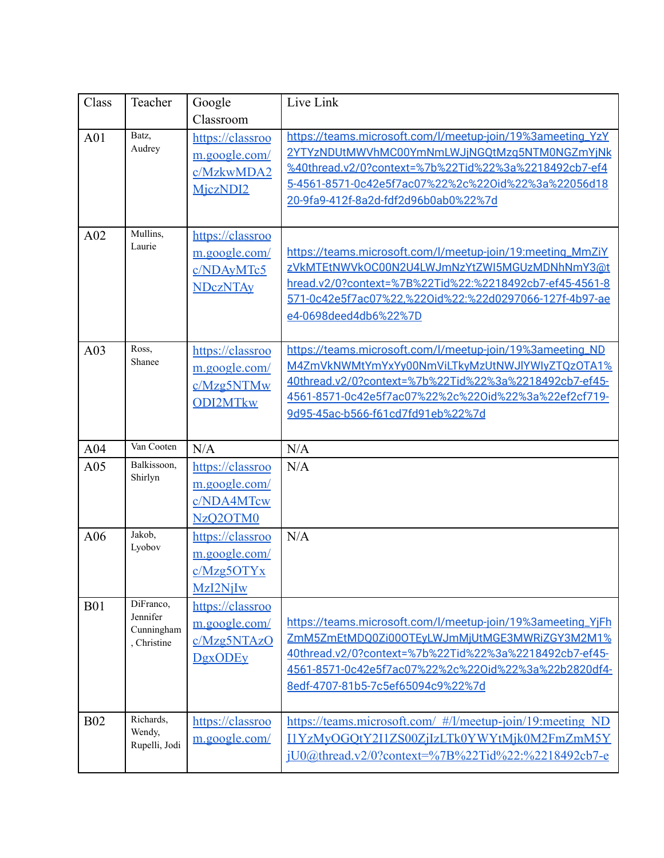| Class      | Teacher                                            | Google<br>Classroom                                                                  | Live Link                                                                                                                                                                                                                                                           |
|------------|----------------------------------------------------|--------------------------------------------------------------------------------------|---------------------------------------------------------------------------------------------------------------------------------------------------------------------------------------------------------------------------------------------------------------------|
| A01        | Batz,<br>Audrey                                    | https://classroo<br>m.google.com/<br>c/MzkwMDA2<br>MiczNDI2                          | https://teams.microsoft.com/l/meetup-join/19%3ameeting_YzY<br>2YTYzNDUtMWVhMC00YmNmLWJjNGQtMzq5NTM0NGZmYjNk<br>%40thread.v2/0?context=%7b%22Tid%22%3a%2218492cb7-ef4<br>5-4561-8571-0c42e5f7ac07%22%2c%22Oid%22%3a%22056d18<br>20-9fa9-412f-8a2d-fdf2d96b0ab0%22%7d |
| A02        | Mullins,<br>Laurie                                 | https://classroo<br>m.google.com/<br>c/NDAyMTc5<br><b>NDczNTAy</b>                   | https://teams.microsoft.com/l/meetup-join/19:meeting_MmZiY<br>zVkMTEtNWVkOC00N2U4LWJmNzYtZWI5MGUzMDNhNmY3@t<br>hread.v2/0?context=%7B%22Tid%22:%2218492cb7-ef45-4561-8<br>571-0c42e5f7ac07%22,%22Oid%22:%22d0297066-127f-4b97-ae<br>e4-0698deed4db6%22%7D           |
| A03        | Ross,<br>Shanee                                    | https://classroo<br>m.google.com/<br>c/Mzg5NTMw<br><b>ODI2MTkw</b>                   | https://teams.microsoft.com/l/meetup-join/19%3ameeting_ND<br>M4ZmVkNWMtYmYxYy00NmViLTkyMzUtNWJlYWIyZTQzOTA1%<br>40thread.v2/0?context=%7b%22Tid%22%3a%2218492cb7-ef45-<br>4561-8571-0c42e5f7ac07%22%2c%22Oid%22%3a%22ef2cf719-<br>9d95-45ac-b566-f61cd7fd91eb%22%7d |
| A04        | Van Cooten                                         | N/A                                                                                  | N/A                                                                                                                                                                                                                                                                 |
| A05        | Balkissoon,<br>Shirlyn                             | https://classroo<br>m.google.com/<br>c/NDA4MTcw<br>NzO <sub>2</sub> OTM <sub>0</sub> | N/A                                                                                                                                                                                                                                                                 |
| A06        | Jakob,<br>Lyobov                                   | https://classroo<br>m.google.com/<br>c/Mzg50TYx<br>MzI2NjIw                          | N/A                                                                                                                                                                                                                                                                 |
| <b>B01</b> | DiFranco,<br>Jennifer<br>Cunningham<br>, Christine | https://classroo<br>m.google.com/<br>c/Mzg5NTAzO<br><b>DgxODEy</b>                   | https://teams.microsoft.com/l/meetup-join/19%3ameeting_YjFh<br>ZmM5ZmEtMDQ0Zi00OTEyLWJmMjUtMGE3MWRiZGY3M2M1%<br>40thread.v2/0?context=%7b%22Tid%22%3a%2218492cb7-ef45-<br>4561-8571-0c42e5f7ac07%22%2c%22Oid%22%3a%22b2820df4-<br>8edf-4707-81b5-7c5ef65094c9%22%7d |
| <b>B02</b> | Richards,<br>Wendy,<br>Rupelli, Jodi               | https://classroo<br>m.google.com/                                                    | https://teams.microsoft.com/ #/l/meetup-join/19:meeting ND<br>I1YzMyOGQtY2I1ZS00ZjIzLTk0YWYtMjk0M2FmZmM5Y<br><u>iU0@thread.v2/0?context=%7B%22Tid%22:%2218492cb7-e</u>                                                                                              |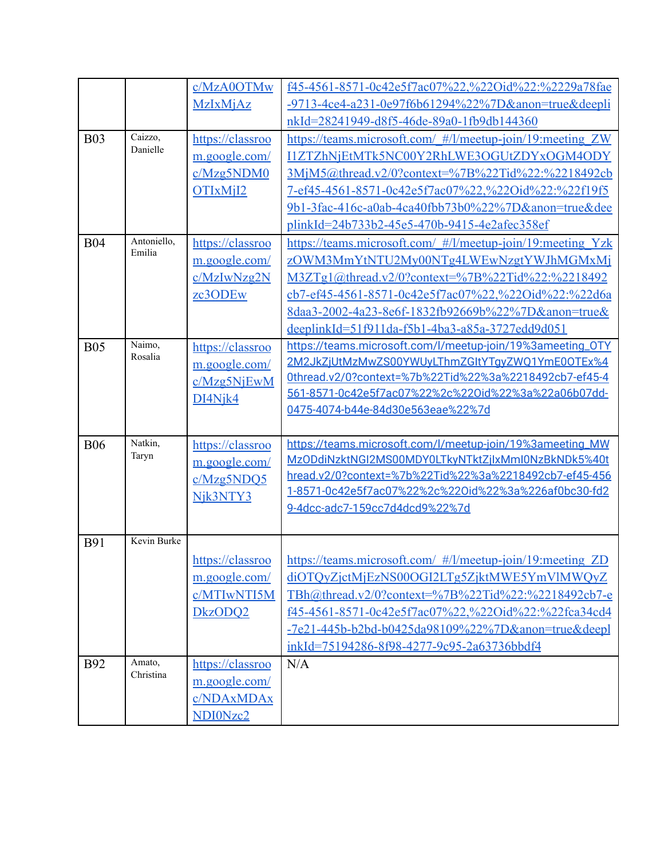|            |                     | c/MzA0OTMw                       | f45-4561-8571-0c42e5f7ac07%22,%22Oid%22:%2229a78fae                                                             |
|------------|---------------------|----------------------------------|-----------------------------------------------------------------------------------------------------------------|
|            |                     | <b>MzIxMjAz</b>                  | -9713-4ce4-a231-0e97f6b61294%22%7D&anon=true&deepli                                                             |
|            |                     |                                  | nkId=28241949-d8f5-46de-89a0-1fb9db144360                                                                       |
| <b>B03</b> | Caizzo,             | https://classroo                 | https://teams.microsoft.com/ #/l/meetup-join/19:meeting ZW                                                      |
|            | Danielle            | m.google.com/                    | I1ZTZhNjEtMTk5NC00Y2RhLWE3OGUtZDYxOGM4ODY                                                                       |
|            |                     | c/Mzg5NDM0                       | 3MjM5@thread.v2/0?context=%7B%22Tid%22:%2218492cb                                                               |
|            |                     | OTIxM <sub>i</sub> <sup>12</sup> | 7-ef45-4561-8571-0c42e5f7ac07%22,%22Oid%22:%22f19f5                                                             |
|            |                     |                                  | 9b1-3fac-416c-a0ab-4ca40fbb73b0%22%7D&anon=true&dee                                                             |
|            |                     |                                  | plinkId=24b733b2-45e5-470b-9415-4e2afec358ef                                                                    |
| <b>B04</b> | Antoniello,         | https://classroo                 | https://teams.microsoft.com/ #/l/meetup-join/19:meeting Yzk                                                     |
|            | Emilia              | m.google.com/                    | zOWM3MmYtNTU2My00NTg4LWEwNzgtYWJhMGMxMj                                                                         |
|            |                     | c/MzIwNzg2N                      | M3ZTg1@thread.v2/0?context=%7B%22Tid%22:%2218492                                                                |
|            |                     | zc3ODEw                          | cb7-ef45-4561-8571-0c42e5f7ac07%22,%22Oid%22:%22d6a                                                             |
|            |                     |                                  | 8daa3-2002-4a23-8e6f-1832fb92669b%22%7D&anon=true&                                                              |
|            |                     |                                  | deeplinkId=51f911da-f5b1-4ba3-a85a-3727edd9d051                                                                 |
| <b>B05</b> | Naimo,              | https://classroo                 | https://teams.microsoft.com/l/meetup-join/19%3ameeting_OTY                                                      |
|            | Rosalia             | m.google.com/                    | 2M2JkZjUtMzMwZS00YWUyLThmZGItYTqyZWQ1YmE0OTEx%4                                                                 |
|            |                     | c/Mzg5NjEwM                      | 0thread.v2/0?context=%7b%22Tid%22%3a%2218492cb7-ef45-4                                                          |
|            |                     | DI4Njk4                          | 561-8571-0c42e5f7ac07%22%2c%22Oid%22%3a%22a06b07dd-                                                             |
|            |                     |                                  | 0475-4074-b44e-84d30e563eae%22%7d                                                                               |
|            | Natkin,             |                                  |                                                                                                                 |
| <b>B06</b> | Taryn               | https://classroo                 | https://teams.microsoft.com/l/meetup-join/19%3ameeting_MW<br>MzODdiNzktNGI2MS00MDY0LTkyNTktZjlxMmI0NzBkNDk5%40t |
|            |                     | m.google.com/                    | hread.v2/0?context=%7b%22Tid%22%3a%2218492cb7-ef45-456                                                          |
|            |                     | c/Mzg5NDO5                       | 1-8571-0c42e5f7ac07%22%2c%22Oid%22%3a%226af0bc30-fd2                                                            |
|            |                     | Njk3NTY3                         | 9-4dcc-adc7-159cc7d4dcd9%22%7d                                                                                  |
|            |                     |                                  |                                                                                                                 |
| <b>B91</b> | Kevin Burke         |                                  |                                                                                                                 |
|            |                     |                                  | https://classroo   https://teams.microsoft.com/ #/l/meetup-join/19:meeting ZD                                   |
|            |                     | m.google.com/                    | diOTQyZjctMjEzNS00OGI2LTg5ZjktMWE5YmVlMWQyZ                                                                     |
|            |                     | c/MTIwNTI5M                      | TBh@thread.v2/0?context=%7B%22Tid%22:%2218492cb7-e                                                              |
|            |                     | DkzODQ2                          | f45-4561-8571-0c42e5f7ac07%22,%22Oid%22:%22fca34cd4                                                             |
|            |                     |                                  | -7e21-445b-b2bd-b0425da98109%22%7D&anon=true&deepl                                                              |
|            |                     |                                  | inkId=75194286-8f98-4277-9c95-2a63736bbdf4                                                                      |
| <b>B92</b> | Amato,<br>Christina | https://classroo                 | N/A                                                                                                             |
|            |                     | m.google.com/                    |                                                                                                                 |
|            |                     | c/NDAxMDAx                       |                                                                                                                 |
|            |                     | NDI0Nzc2                         |                                                                                                                 |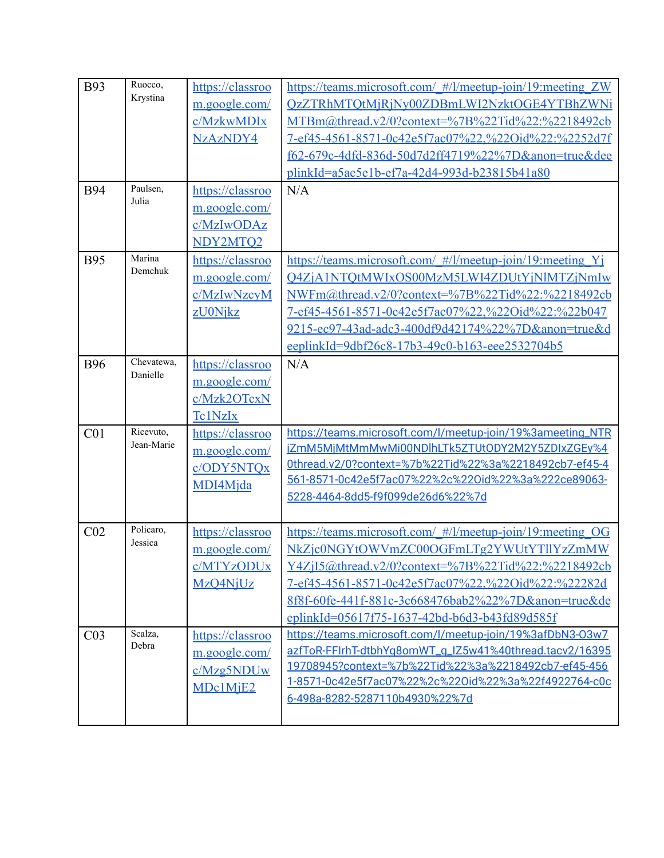| <b>B93</b><br><b>B94</b> | Ruocco,<br>Krystina<br>Paulsen,<br>Julia | https://classroo<br>m.google.com/<br>c/MzkwMDIx<br>NzAzNDY4<br>https://classroo<br>m.google.com/<br>c/MzIwODAz<br>NDY2MTO2 | https://teams.microsoft.com/ #/l/meetup-join/19:meeting ZW<br>QzZTRhMTQtMjRjNy00ZDBmLWI2NzktOGE4YTBhZWNi<br>MTBm@thread.v2/0?context=%7B%22Tid%22:%2218492cb<br>7-ef45-4561-8571-0c42e5f7ac07%22.%22Oid%22:%2252d7f<br>f62-679c-4dfd-836d-50d7d2ff4719%22%7D&anon=true&dee<br>plinkId=a5ae5e1b-ef7a-42d4-993d-b23815b41a80<br>N/A |
|--------------------------|------------------------------------------|----------------------------------------------------------------------------------------------------------------------------|-----------------------------------------------------------------------------------------------------------------------------------------------------------------------------------------------------------------------------------------------------------------------------------------------------------------------------------|
| <b>B95</b>               | Marina<br>Demchuk                        | https://classroo<br>m.google.com/<br>c/MzIwNzcyM<br>zU0Njkz                                                                | https://teams.microsoft.com/ #/l/meetup-join/19:meeting Yj<br>Q4ZjA1NTQtMWIxOS00MzM5LWI4ZDUtYjNlMTZjNmIw<br>NWFm@thread.v2/0?context=%7B%22Tid%22:%2218492cb<br>7-ef45-4561-8571-0c42e5f7ac07%22,%22Oid%22:%22b047<br>9215-ec97-43ad-adc3-400df9d42174%22%7D&anon=true&d<br>eeplinkId=9dbf26c8-17b3-49c0-b163-eee2532704b5        |
| <b>B96</b>               | Chevatewa,<br>Danielle                   | https://classroo<br>m.google.com/<br>c/Mzk2OTcxN<br>Tc1NzIx                                                                | N/A                                                                                                                                                                                                                                                                                                                               |
| C <sub>01</sub>          | Ricevuto,<br>Jean-Marie                  | https://classroo<br>m.google.com/<br>c/ODY5NTQx<br>MDI4Mjda                                                                | https://teams.microsoft.com/l/meetup-join/19%3ameeting_NTR<br>iZmM5MiMtMmMwMi00NDlhLTk5ZTUtODY2M2Y5ZDIxZGEy%4<br>0thread.v2/0?context=%7b%22Tid%22%3a%2218492cb7-ef45-4<br>561-8571-0c42e5f7ac07%22%2c%22Oid%22%3a%222ce89063-<br>5228-4464-8dd5-f9f099de26d6%22%7d                                                               |
| CO <sub>2</sub>          | Policaro,<br>Jessica                     | https://classroo<br>m.google.com/<br>c/MTYzODUx<br>MzQ4NjUz                                                                | https://teams.microsoft.com/ #/l/meetup-join/19:meeting OG<br>NkZjc0NGYtOWVmZC00OGFmLTg2YWUtYTllYzZmMW<br>Y4ZjI5@thread.v2/0?context=%7B%22Tid%22:%2218492cb<br>7-ef45-4561-8571-0c42e5f7ac07%22,%22Oid%22:%22282d<br>8f8f-60fe-441f-881c-3c668476bab2%22%7D&anon=true&de<br>eplinkId=05617f75-1637-42bd-b6d3-b43fd89d585f        |
| CO <sub>3</sub>          | Scalza,<br>Debra                         | https://classroo<br>m.google.com/<br>c/Mzg5NDUw<br>MDc1MjE2                                                                | https://teams.microsoft.com/l/meetup-join/19%3afDbN3-03w7<br>azfToR-FFIrhT-dtbhYq8omWT_q_IZ5w41%40thread.tacv2/16395<br>19708945?context=%7b%22Tid%22%3a%2218492cb7-ef45-456<br>1-8571-0c42e5f7ac07%22%2c%22Oid%22%3a%22f4922764-c0c<br>6-498a-8282-5287110b4930%22%7d                                                            |